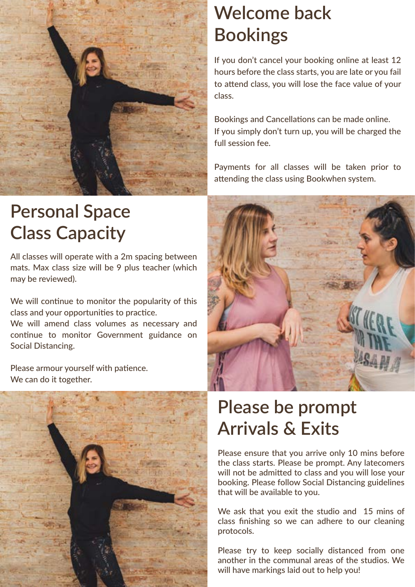

## **Personal Space Class Capacity**

All classes will operate with a 2m spacing between mats. Max class size will be 9 plus teacher (which may be reviewed).

We will continue to monitor the popularity of this class and your opportunities to practice.

We will amend class volumes as necessary and continue to monitor Government guidance on Social Distancing.

Please armour yourself with patience. We can do it together.



## **Welcome back Bookings**

If you don't cancel your booking online at least 12 hours before the class starts, you are late or you fail to attend class, you will lose the face value of your class.

Bookings and Cancellations can be made online. If you simply don't turn up, you will be charged the full session fee.

Payments for all classes will be taken prior to attending the class using Bookwhen system.



## **Please be prompt Arrivals & Exits**

Please ensure that you arrive only 10 mins before the class starts. Please be prompt. Any latecomers will not be admitted to class and you will lose your booking. Please follow Social Distancing guidelines that will be available to you.

We ask that you exit the studio and 15 mins of class finishing so we can adhere to our cleaning protocols.

Please try to keep socially distanced from one another in the communal areas of the studios. We will have markings laid out to help you!